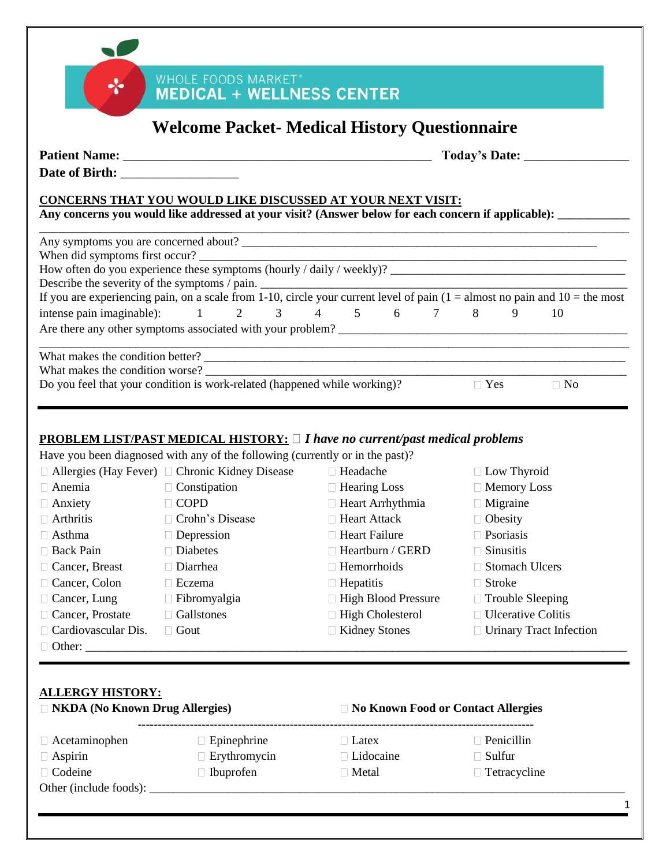|                                                                      |                                                                                                                                                                                    |                                           | Today's Date: ________             |           |
|----------------------------------------------------------------------|------------------------------------------------------------------------------------------------------------------------------------------------------------------------------------|-------------------------------------------|------------------------------------|-----------|
|                                                                      | <b>CONCERNS THAT YOU WOULD LIKE DISCUSSED AT YOUR NEXT VISIT:</b><br>Any concerns you would like addressed at your visit? (Answer below for each concern if applicable): _________ |                                           |                                    |           |
|                                                                      |                                                                                                                                                                                    |                                           |                                    |           |
|                                                                      | When did symptoms first occur?                                                                                                                                                     |                                           |                                    |           |
|                                                                      |                                                                                                                                                                                    |                                           |                                    |           |
|                                                                      | Describe the severity of the symptoms / pain. $\frac{1}{10}$ circle your current level of pain $(1 = \text{almost no pain and } 10 = \text{the most of } 10$                       |                                           |                                    |           |
| intense pain imaginable):                                            |                                                                                                                                                                                    | $1 \t2 \t3 \t4 \t5 \t6 \t7 \t8$           | 9                                  | 10        |
|                                                                      |                                                                                                                                                                                    |                                           |                                    |           |
|                                                                      | Do you feel that your condition is work-related (happened while working)?                                                                                                          |                                           | $\Box$ Yes                         | $\Box$ No |
|                                                                      | <b>PROBLEM LIST/PAST MEDICAL HISTORY:</b> $\Box$ <i>I have no current/past medical problems</i>                                                                                    |                                           |                                    |           |
|                                                                      | Have you been diagnosed with any of the following (currently or in the past)?                                                                                                      |                                           |                                    |           |
|                                                                      | □ Allergies (Hay Fever) □ Chronic Kidney Disease □ Headache                                                                                                                        |                                           | □ Low Thyroid                      |           |
|                                                                      | $\Box$ Constipation                                                                                                                                                                | $\Box$ Hearing Loss                       | □ Memory Loss                      |           |
|                                                                      | $\Box$ COPD                                                                                                                                                                        | $\Box$ Heart Arrhythmia<br>□ Heart Attack | $\Box$ Migraine                    |           |
| $\Box$ Anemia<br>$\Box$ Anxiety<br>$\Box$ Arthritis<br>$\Box$ Asthma | □ Crohn's Disease                                                                                                                                                                  | $\Box$ Heart Failure                      | $\Box$ Obesity<br>$\Box$ Psoriasis |           |
|                                                                      | $\Box$ Depression<br>Diabetes                                                                                                                                                      | $\Box$ Heartburn / GERD                   | $\Box$ Sinusitis                   |           |
| □ Back Pain<br>□ Cancer, Breast                                      | $\Box$ Diarrhea                                                                                                                                                                    | $\Box$ Hemorrhoids                        | □ Stomach Ulcers                   |           |
|                                                                      | $\Box$ Eczema                                                                                                                                                                      | $\Box$ Hepatitis                          | $\Box$ Stroke                      |           |
| □ Cancer, Colon<br>□ Cancer, Lung                                    | $\Box$ Fibromyalgia                                                                                                                                                                | $\Box$ High Blood Pressure                | $\Box$ Trouble Sleeping            |           |
| □ Cancer, Prostate                                                   | □ Gallstones                                                                                                                                                                       | □ High Cholesterol                        | □ Ulcerative Colitis               |           |

- $\Box$  Acetaminophen  $\Box$  Epinephrine  $\Box$  Latex □ Aspirin □ Erythromycin □ Lidocaine □ Sulfur  $\Box$  Codeine  $\Box$  Ibuprofen  $\Box$  Metal  $\Box$  Tetracycline
	-
	-

Other (include foods): \_\_\_\_\_\_\_\_\_\_\_\_\_\_\_\_\_\_\_\_\_\_\_\_\_\_\_\_\_\_\_\_\_\_\_\_\_\_\_\_\_\_\_\_\_\_\_\_\_\_\_\_\_\_\_\_\_\_\_\_\_\_\_\_\_\_\_\_\_\_\_\_\_\_\_\_\_\_\_

- 
- 
- -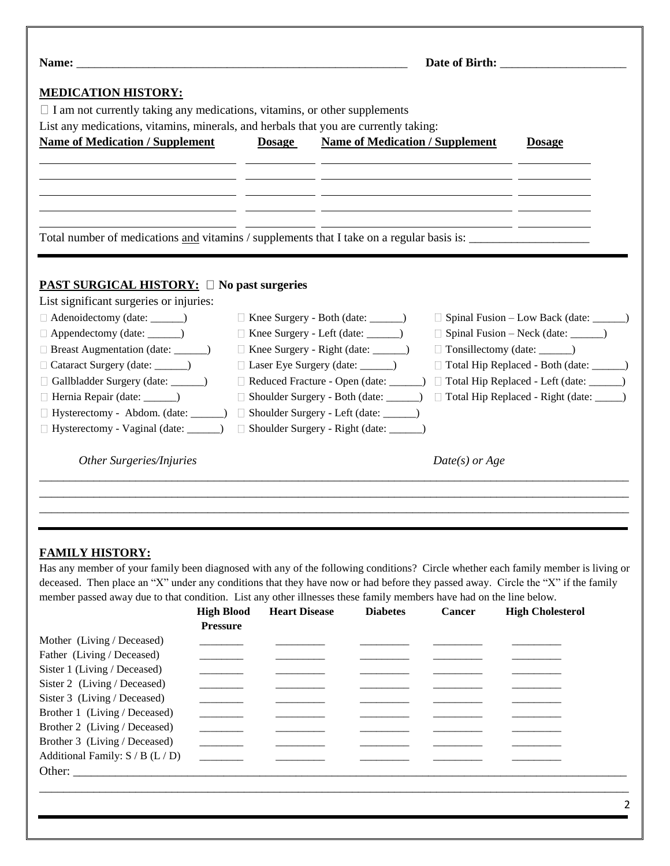|                                                                                                                                                                                                                                                                                | Name: Name and the state of the state of the state of the state of the state of the state of the state of the state of the state of the state of the state of the state of the state of the state of the state of the state of |                                                                                                                                                                                                |                                                                                                                       |                                                                                                                                                                           |  |  |
|--------------------------------------------------------------------------------------------------------------------------------------------------------------------------------------------------------------------------------------------------------------------------------|--------------------------------------------------------------------------------------------------------------------------------------------------------------------------------------------------------------------------------|------------------------------------------------------------------------------------------------------------------------------------------------------------------------------------------------|-----------------------------------------------------------------------------------------------------------------------|---------------------------------------------------------------------------------------------------------------------------------------------------------------------------|--|--|
| <b>MEDICATION HISTORY:</b><br>$\Box$ I am not currently taking any medications, vitamins, or other supplements<br>List any medications, vitamins, minerals, and herbals that you are currently taking:                                                                         |                                                                                                                                                                                                                                |                                                                                                                                                                                                |                                                                                                                       |                                                                                                                                                                           |  |  |
| <b>Name of Medication / Supplement</b>                                                                                                                                                                                                                                         | <b>Dosage</b>                                                                                                                                                                                                                  | <b>Name of Medication / Supplement</b>                                                                                                                                                         |                                                                                                                       | <b>Dosage</b>                                                                                                                                                             |  |  |
|                                                                                                                                                                                                                                                                                |                                                                                                                                                                                                                                | <u> 1980 - Jan Alexandro (f. 1980).</u><br>1900 - Johann Barn, fransk skrivet (f. 1980).                                                                                                       |                                                                                                                       |                                                                                                                                                                           |  |  |
|                                                                                                                                                                                                                                                                                |                                                                                                                                                                                                                                |                                                                                                                                                                                                |                                                                                                                       |                                                                                                                                                                           |  |  |
|                                                                                                                                                                                                                                                                                |                                                                                                                                                                                                                                |                                                                                                                                                                                                | <u> 1980 - Jan Samuel Barbara, martin a shekara 1980 - An tsa a shekara 1980 - An tsa a shekara 1980 - An tsa a s</u> |                                                                                                                                                                           |  |  |
| Total number of medications and vitamins / supplements that I take on a regular basis is:                                                                                                                                                                                      |                                                                                                                                                                                                                                |                                                                                                                                                                                                |                                                                                                                       |                                                                                                                                                                           |  |  |
| <b>PAST SURGICAL HISTORY:</b> No past surgeries<br>List significant surgeries or injuries:<br>□ Adenoidectomy (date: ______)<br>□ Appendectomy (date: ______)<br>□ Breast Augmentation (date: ______)<br>Cataract Surgery (date: ______)<br>Gallbladder Surgery (date: ______) |                                                                                                                                                                                                                                | □ Knee Surgery - Both (date: ______)<br>Knee Surgery - Left (date: ______)<br>Knee Surgery - Right (date: _____)<br>Laser Eye Surgery (date: ______)<br>Reduced Fracture - Open (date: ______) |                                                                                                                       | □ Spinal Fusion – Low Back (date: ______)<br>□ Spinal Fusion – Neck (date: _______)<br>Total Hip Replaced - Both (date: _____)<br>Total Hip Replaced - Left (date: _____) |  |  |
| Hernia Repair (date: _______)<br>Hysterectomy - Abdom. (date: ______)                                                                                                                                                                                                          |                                                                                                                                                                                                                                | Shoulder Surgery - Both (date: ______)<br>Shoulder Surgery - Left (date: ______)                                                                                                               |                                                                                                                       | □ Total Hip Replaced - Right (date: _____)                                                                                                                                |  |  |
|                                                                                                                                                                                                                                                                                |                                                                                                                                                                                                                                | Shoulder Surgery - Right (date: _____)                                                                                                                                                         |                                                                                                                       |                                                                                                                                                                           |  |  |
| Hysterectomy - Vaginal (date: ______)                                                                                                                                                                                                                                          |                                                                                                                                                                                                                                |                                                                                                                                                                                                |                                                                                                                       |                                                                                                                                                                           |  |  |

### **FAMILY HISTORY:**

Has any member of your family been diagnosed with any of the following conditions? Circle whether each family member is living or deceased. Then place an "X" under any conditions that they have now or had before they passed away. Circle the "X" if the family member passed away due to that condition. List any other illnesses these family members have had on the line below.

|                                    | <b>High Blood</b>        | <b>Heart Disease</b> | <b>Diabetes</b> | <b>Cancer</b> | <b>High Cholesterol</b> |
|------------------------------------|--------------------------|----------------------|-----------------|---------------|-------------------------|
|                                    | <b>Pressure</b>          |                      |                 |               |                         |
| Mother (Living / Deceased)         |                          |                      |                 |               |                         |
| Father (Living / Deceased)         |                          |                      |                 |               |                         |
| Sister 1 (Living / Deceased)       |                          |                      |                 |               |                         |
| Sister 2 (Living / Deceased)       |                          |                      |                 |               |                         |
| Sister 3 (Living / Deceased)       |                          |                      |                 |               |                         |
| Brother 1 (Living / Deceased)      |                          |                      |                 |               |                         |
| Brother 2 (Living / Deceased)      |                          |                      |                 |               |                         |
| Brother 3 (Living / Deceased)      | and the control of       |                      |                 |               |                         |
| Additional Family: $S / B (L / D)$ | <b>Contract Contract</b> |                      |                 |               |                         |
| Other:                             |                          |                      |                 |               |                         |

\_\_\_\_\_\_\_\_\_\_\_\_\_\_\_\_\_\_\_\_\_\_\_\_\_\_\_\_\_\_\_\_\_\_\_\_\_\_\_\_\_\_\_\_\_\_\_\_\_\_\_\_\_\_\_\_\_\_\_\_\_\_\_\_\_\_\_\_\_\_\_\_\_\_\_\_\_\_\_\_\_\_\_\_\_\_\_\_\_\_\_\_\_\_\_\_\_\_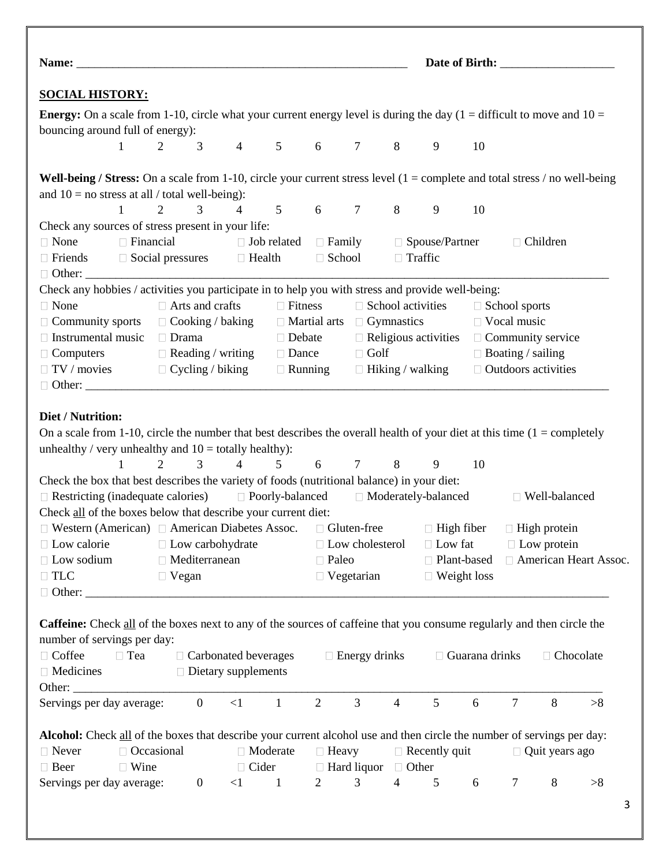| <b>SOCIAL HISTORY:</b>                                                                                                                                                                                                                                                                                                                                                                                                                                                                                   |                             |              |                           |                                                           |                                                        |                |                                             |                                       |                      |                                                      |                          |                                       |                         |
|----------------------------------------------------------------------------------------------------------------------------------------------------------------------------------------------------------------------------------------------------------------------------------------------------------------------------------------------------------------------------------------------------------------------------------------------------------------------------------------------------------|-----------------------------|--------------|---------------------------|-----------------------------------------------------------|--------------------------------------------------------|----------------|---------------------------------------------|---------------------------------------|----------------------|------------------------------------------------------|--------------------------|---------------------------------------|-------------------------|
| <b>Energy:</b> On a scale from 1-10, circle what your current energy level is during the day $(1 =$ difficult to move and $10 =$                                                                                                                                                                                                                                                                                                                                                                         |                             |              |                           |                                                           |                                                        |                |                                             |                                       |                      |                                                      |                          |                                       |                         |
| bouncing around full of energy):                                                                                                                                                                                                                                                                                                                                                                                                                                                                         |                             |              |                           |                                                           |                                                        |                |                                             |                                       |                      |                                                      |                          |                                       |                         |
| $\mathbf{1}$                                                                                                                                                                                                                                                                                                                                                                                                                                                                                             |                             |              |                           |                                                           | 2 3 4 5 6 7 8 9                                        |                |                                             |                                       |                      | 10                                                   |                          |                                       |                         |
| <b>Well-being / Stress:</b> On a scale from 1-10, circle your current stress level $(1 = \text{complete and total stress } / \text{no well-being})$                                                                                                                                                                                                                                                                                                                                                      |                             |              |                           |                                                           |                                                        |                |                                             |                                       |                      |                                                      |                          |                                       |                         |
| and $10 =$ no stress at all / total well-being):                                                                                                                                                                                                                                                                                                                                                                                                                                                         |                             |              |                           |                                                           |                                                        |                |                                             |                                       |                      |                                                      |                          |                                       |                         |
| $\mathbf{1}$                                                                                                                                                                                                                                                                                                                                                                                                                                                                                             | 2                           |              | 3                         |                                                           | 4 5 6 7                                                |                |                                             | 8                                     | 9                    | 10                                                   |                          |                                       |                         |
| Check any sources of stress present in your life:                                                                                                                                                                                                                                                                                                                                                                                                                                                        |                             |              |                           |                                                           |                                                        |                |                                             |                                       |                      |                                                      |                          |                                       |                         |
| $\Box$ None                                                                                                                                                                                                                                                                                                                                                                                                                                                                                              | $\Box$ Financial            |              |                           |                                                           | $\Box$ Job related $\Box$ Family $\Box$ Spouse/Partner |                |                                             |                                       |                      |                                                      |                          | $\Box$ Children                       |                         |
| $\Box$ Friends                                                                                                                                                                                                                                                                                                                                                                                                                                                                                           |                             |              |                           | $\Box$ Social pressures $\Box$ Health                     |                                                        | □ School       |                                             | $\Box$ Traffic                        |                      |                                                      |                          |                                       |                         |
|                                                                                                                                                                                                                                                                                                                                                                                                                                                                                                          |                             |              |                           |                                                           |                                                        |                |                                             |                                       |                      |                                                      |                          |                                       |                         |
| Check any hobbies / activities you participate in to help you with stress and provide well-being:                                                                                                                                                                                                                                                                                                                                                                                                        |                             |              |                           |                                                           |                                                        |                |                                             |                                       |                      |                                                      |                          |                                       |                         |
| $\Box$ None                                                                                                                                                                                                                                                                                                                                                                                                                                                                                              |                             |              | $\Box$ Arts and crafts    |                                                           | $\Box$ Fitness                                         |                |                                             | $\Box$ School activities              |                      |                                                      | □ School sports          |                                       |                         |
|                                                                                                                                                                                                                                                                                                                                                                                                                                                                                                          |                             |              |                           |                                                           |                                                        |                |                                             |                                       |                      |                                                      | □ Vocal music            |                                       |                         |
| $\Box$ Community sports $\Box$ Cooking / baking                                                                                                                                                                                                                                                                                                                                                                                                                                                          |                             |              |                           |                                                           |                                                        |                |                                             | $\Box$ Martial arts $\Box$ Gymnastics |                      |                                                      |                          |                                       |                         |
| $\Box$ Instrumental music                                                                                                                                                                                                                                                                                                                                                                                                                                                                                |                             | $\Box$ Drama |                           |                                                           |                                                        | $\Box$ Debate  |                                             |                                       |                      | $\Box$ Religious activities $\Box$ Community service |                          |                                       |                         |
| $\Box$ Computers                                                                                                                                                                                                                                                                                                                                                                                                                                                                                         |                             |              |                           | $\Box$ Reading / writing                                  |                                                        | $\Box$ Dance   | $\Box$ Golf                                 |                                       |                      |                                                      | $\Box$ Boating / sailing |                                       |                         |
| $\Box$ TV / movies $\Box$ Cycling / biking                                                                                                                                                                                                                                                                                                                                                                                                                                                               |                             |              |                           |                                                           |                                                        | $\Box$ Running |                                             | □ Hiking / walking                    |                      |                                                      |                          | $\Box$ Outdoors activities            |                         |
|                                                                                                                                                                                                                                                                                                                                                                                                                                                                                                          |                             |              |                           |                                                           |                                                        |                |                                             |                                       |                      |                                                      |                          |                                       |                         |
| unhealthy / very unhealthy and $10 =$ totally healthy):<br>1<br>Check the box that best describes the variety of foods (nutritional balance) in your diet:<br>$\Box$ Restricting (inadequate calories) $\Box$ Poorly-balanced $\Box$ Moderately-balanced<br>Check all of the boxes below that describe your current diet:<br>$\Box$ Western (American) $\Box$ American Diabetes Assoc. $\Box$ Gluten-free $\Box$ High fiber $\Box$ High protein<br>$\Box$ Low calorie<br>$\Box$ Low sodium<br>$\Box$ TLC | 2                           | $\Box$ Vegan | 3<br>$\Box$ Mediterranean | $\overline{4}$<br>$\Box$ Low carbohydrate                 | 5 <sup>5</sup>                                         | $\Box$ Paleo   | $\Box$ Low cholesterol<br>$\Box$ Vegetarian | 6 7 8                                 | 9<br>$\Box$ Low fat  | 10<br>□ Plant-based<br>$\Box$ Weight loss            |                          | □ Well-balanced<br>$\Box$ Low protein | □ American Heart Assoc. |
| <b>Caffeine:</b> Check all of the boxes next to any of the sources of caffeine that you consume regularly and then circle the<br>number of servings per day:<br>□ Coffee<br>□ Tea<br>$\Box$ Medicines                                                                                                                                                                                                                                                                                                    |                             |              |                           | $\Box$ Carbonated beverages<br>$\Box$ Dietary supplements |                                                        |                | $\Box$ Energy drinks                        |                                       |                      | $\Box$ Guarana drinks                                |                          | $\Box$ Chocolate                      |                         |
| Servings per day average:                                                                                                                                                                                                                                                                                                                                                                                                                                                                                |                             |              | $\overline{0}$            | $<1\,$                                                    | $\mathbf{1}$                                           | $\overline{2}$ | 3                                           | $\overline{4}$                        | 5                    | 6                                                    | $\tau$                   | 8                                     | >8                      |
| Alcohol: Check all of the boxes that describe your current alcohol use and then circle the number of servings per day:<br>$\Box$ Never<br>□ Beer                                                                                                                                                                                                                                                                                                                                                         | □ Occasional<br>$\Box$ Wine |              |                           |                                                           | □ Moderate<br>$\Box$ Cider                             | $\Box$ Heavy   | $\Box$ Hard liquor                          | □ Other                               | $\Box$ Recently quit |                                                      |                          | $\Box$ Quit years ago                 |                         |
| Servings per day average:                                                                                                                                                                                                                                                                                                                                                                                                                                                                                |                             |              | $\boldsymbol{0}$          | <1                                                        | $\blacksquare$                                         | $\overline{2}$ | $\mathfrak{Z}$                              | $\overline{4}$                        | $\overline{5}$       | 6                                                    | $\tau$                   | 8                                     | >8                      |
|                                                                                                                                                                                                                                                                                                                                                                                                                                                                                                          |                             |              |                           |                                                           |                                                        |                |                                             |                                       |                      |                                                      |                          |                                       |                         |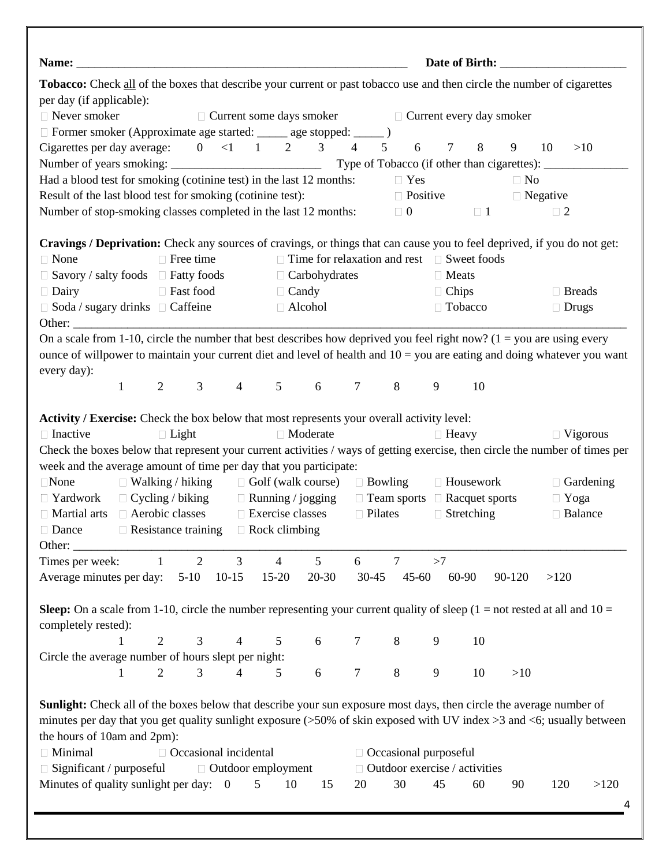| Tobacco: Check all of the boxes that describe your current or past tobacco use and then circle the number of cigarettes<br>per day (if applicable): |                  |                |                              |                                                       |                                                        |                |                |                              |                 |                                      |                                          |          |                  |
|-----------------------------------------------------------------------------------------------------------------------------------------------------|------------------|----------------|------------------------------|-------------------------------------------------------|--------------------------------------------------------|----------------|----------------|------------------------------|-----------------|--------------------------------------|------------------------------------------|----------|------------------|
| $\Box$ Never smoker                                                                                                                                 |                  |                |                              |                                                       |                                                        |                |                |                              |                 |                                      |                                          |          |                  |
|                                                                                                                                                     |                  |                |                              | □ Current some days smoker □ Current every day smoker |                                                        |                |                |                              |                 |                                      |                                          |          |                  |
| □ Former smoker (Approximate age started: _____ age stopped: ____ )<br>Cigarettes per day average: $0 \lt 1 \lt 1 \lt 2 \lt 3 \lt 4$                |                  |                |                              |                                                       |                                                        |                | 5 <sup>5</sup> | 6                            | $7\overline{ }$ | 8                                    | 9                                        | 10       | >10              |
|                                                                                                                                                     |                  |                |                              |                                                       |                                                        |                |                |                              |                 |                                      |                                          |          |                  |
| Had a blood test for smoking (cotinine test) in the last 12 months:                                                                                 |                  |                |                              |                                                       |                                                        |                |                | $\Box$ Yes                   |                 |                                      | $\Box$ No                                |          |                  |
| Result of the last blood test for smoking (cotinine test):                                                                                          |                  |                |                              |                                                       |                                                        |                |                |                              |                 |                                      |                                          |          |                  |
| Number of stop-smoking classes completed in the last 12 months:                                                                                     |                  |                |                              |                                                       |                                                        |                |                |                              |                 | $\Box$ 0 $\Box$ 1                    | $\Box$ Positive $\Box$ Negative          | $\Box$ 2 |                  |
|                                                                                                                                                     |                  |                |                              |                                                       |                                                        |                |                |                              |                 |                                      |                                          |          |                  |
| Cravings / Deprivation: Check any sources of cravings, or things that can cause you to feel deprived, if you do not get:                            |                  |                |                              |                                                       |                                                        |                |                |                              |                 |                                      |                                          |          |                  |
| $\Box$ None                                                                                                                                         | $\Box$ Free time |                |                              |                                                       | $\Box$ Time for relaxation and rest $\Box$ Sweet foods |                |                |                              |                 |                                      |                                          |          |                  |
| $\Box$ Savory / salty foods $\Box$ Fatty foods                                                                                                      |                  |                |                              |                                                       | $\Box$ Carbohydrates                                   |                |                |                              | $\Box$ Meats    |                                      |                                          |          |                  |
| □ Fast food<br>$\Box$ Dairy                                                                                                                         |                  |                |                              |                                                       | $\Box$ Candy                                           |                |                |                              | $\Box$ Chips    |                                      |                                          |          | $\Box$ Breads    |
| $\Box$ Soda / sugary drinks $\Box$ Caffeine                                                                                                         |                  |                |                              |                                                       | $\Box$ Alcohol                                         |                |                |                              |                 | □ Tobacco                            |                                          |          | $\Box$ Drugs     |
| On a scale from 1-10, circle the number that best describes how deprived you feel right now? $(1 = you are using every$                             |                  |                |                              |                                                       |                                                        |                |                |                              |                 |                                      |                                          |          |                  |
| ounce of will power to maintain your current diet and level of health and $10 =$ you are eating and doing whatever you want                         |                  |                |                              |                                                       |                                                        |                |                |                              |                 |                                      |                                          |          |                  |
| every day):                                                                                                                                         |                  |                |                              |                                                       |                                                        |                |                |                              |                 |                                      |                                          |          |                  |
| $\mathbf{1}$                                                                                                                                        | $\overline{2}$   | 3 <sup>1</sup> |                              | 4 5 6 7 8                                             |                                                        |                |                |                              | 9               | 10                                   |                                          |          |                  |
|                                                                                                                                                     |                  |                |                              |                                                       |                                                        |                |                |                              |                 |                                      |                                          |          |                  |
| Activity / Exercise: Check the box below that most represents your overall activity level:                                                          |                  |                |                              |                                                       |                                                        |                |                |                              |                 |                                      |                                          |          |                  |
| $\Box$ Inactive                                                                                                                                     | $\Box$ Light     |                |                              |                                                       | □ Moderate                                             |                |                |                              | $\Box$ Heavy    |                                      |                                          |          | $\Box$ Vigorous  |
| Check the boxes below that represent your current activities / ways of getting exercise, then circle the number of times per                        |                  |                |                              |                                                       |                                                        |                |                |                              |                 |                                      |                                          |          |                  |
| week and the average amount of time per day that you participate:                                                                                   |                  |                |                              |                                                       |                                                        |                |                |                              |                 |                                      |                                          |          |                  |
| $\Box$ None                                                                                                                                         |                  |                |                              | $\Box$ Walking / hiking $\Box$ Golf (walk course)     |                                                        |                |                |                              |                 | $\Box$ Bowling $\Box$ Housework      |                                          |          | $\Box$ Gardening |
| $\Box$ Yardwork                                                                                                                                     |                  |                |                              | $\Box$ Cycling / biking $\Box$ Running / jogging      |                                                        |                |                |                              |                 |                                      | $\Box$ Team sports $\Box$ Racquet sports |          | $\Box$ Yoga      |
| Aerobic classes<br>$\Box$ Martial arts                                                                                                              |                  |                |                              | $\Box$ Exercise classes                               |                                                        |                |                | $\Box$ Pilates               |                 | $\Box$ Stretching                    |                                          |          | □ Balance        |
| □ Dance<br>Resistance training                                                                                                                      |                  |                |                              | $\hfill\Box$<br>Rock climbing                         |                                                        |                |                |                              |                 |                                      |                                          |          |                  |
| Other:                                                                                                                                              |                  |                |                              |                                                       |                                                        |                |                |                              |                 |                                      |                                          |          |                  |
| Times per week:                                                                                                                                     | $\mathbf{1}$     | $\overline{2}$ | $\mathfrak{Z}$               | $\overline{4}$                                        | 5                                                      | 6              |                | $\tau$                       | >7              |                                      |                                          |          |                  |
| Average minutes per day:                                                                                                                            |                  | $5-10$         | $10-15$                      | $15-20$                                               | 20-30                                                  | $30 - 45$      |                | $45 - 60$                    |                 | 60-90                                | 90-120                                   | >120     |                  |
|                                                                                                                                                     |                  |                |                              |                                                       |                                                        |                |                |                              |                 |                                      |                                          |          |                  |
| <b>Sleep:</b> On a scale from 1-10, circle the number representing your current quality of sleep $(1 = not \, \, \text{rested at all and } 10 =$    |                  |                |                              |                                                       |                                                        |                |                |                              |                 |                                      |                                          |          |                  |
| completely rested):                                                                                                                                 |                  |                |                              |                                                       |                                                        |                |                |                              |                 |                                      |                                          |          |                  |
| 1                                                                                                                                                   | $\overline{2}$   | 3              | $\overline{4}$               | 5                                                     | 6                                                      | $\overline{7}$ |                | $8\,$                        | 9               | 10                                   |                                          |          |                  |
| Circle the average number of hours slept per night:                                                                                                 |                  |                |                              |                                                       |                                                        |                |                |                              |                 |                                      |                                          |          |                  |
| 1                                                                                                                                                   | 2                | 3              | 4                            | 5                                                     | 6                                                      | $\overline{7}$ |                | $8\,$                        | 9               | 10                                   | >10                                      |          |                  |
| <b>Sunlight:</b> Check all of the boxes below that describe your sun exposure most days, then circle the average number of                          |                  |                |                              |                                                       |                                                        |                |                |                              |                 |                                      |                                          |          |                  |
|                                                                                                                                                     |                  |                |                              |                                                       |                                                        |                |                |                              |                 |                                      |                                          |          |                  |
|                                                                                                                                                     |                  |                |                              |                                                       |                                                        |                |                |                              |                 |                                      |                                          |          |                  |
| minutes per day that you get quality sunlight exposure (>50% of skin exposed with UV index >3 and <6; usually between                               |                  |                |                              |                                                       |                                                        |                |                |                              |                 |                                      |                                          |          |                  |
| the hours of 10am and 2pm):                                                                                                                         |                  |                |                              |                                                       |                                                        |                |                |                              |                 |                                      |                                          |          |                  |
| □ Minimal                                                                                                                                           |                  |                | $\Box$ Occasional incidental |                                                       |                                                        |                |                | $\Box$ Occasional purposeful |                 |                                      |                                          |          |                  |
| $\Box$ Significant / purposeful                                                                                                                     |                  |                |                              | □ Outdoor employment                                  |                                                        |                |                |                              |                 | $\Box$ Outdoor exercise / activities |                                          |          |                  |
| Minutes of quality sunlight per day: 0                                                                                                              |                  |                |                              | 5<br>10                                               | 15                                                     | 20             |                | 30                           | 45              | 60                                   | 90                                       | 120      | >120             |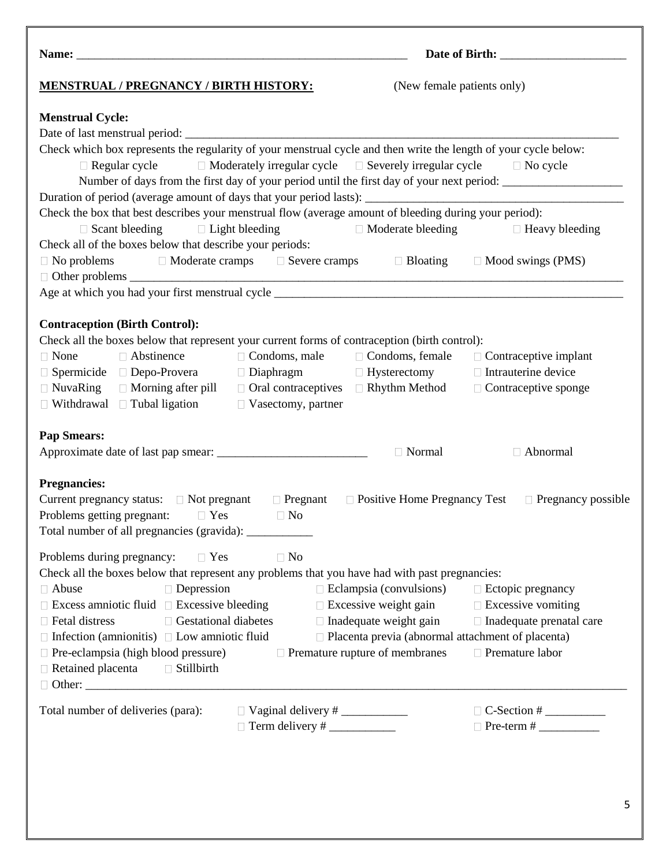# **MENSTRUAL / PREGNANCY / BIRTH HISTORY:** (New female patients only)

# **Name:** \_\_\_\_\_\_\_\_\_\_\_\_\_\_\_\_\_\_\_\_\_\_\_\_\_\_\_\_\_\_\_\_\_\_\_\_\_\_\_\_\_\_\_\_\_\_\_\_\_\_\_\_\_\_\_ **Date of Birth:** \_\_\_\_\_\_\_\_\_\_\_\_\_\_\_\_\_\_\_\_\_

### **Menstrual Cycle:**

| Check which box represents the regularity of your menstrual cycle and then write the length of your cycle below:            |                                                          |                                                  |
|-----------------------------------------------------------------------------------------------------------------------------|----------------------------------------------------------|--------------------------------------------------|
| $\Box$ Regular cycle $\Box$ Moderately irregular cycle $\Box$ Severely irregular cycle $\Box$ No cycle                      |                                                          |                                                  |
| Number of days from the first day of your period until the first day of your next period: ____________________              |                                                          |                                                  |
|                                                                                                                             |                                                          |                                                  |
| Check the box that best describes your menstrual flow (average amount of bleeding during your period):                      |                                                          |                                                  |
| $\Box$ Scant bleeding $\Box$ Light bleeding                                                                                 |                                                          | □ Moderate bleeding □ Heavy bleeding             |
| Check all of the boxes below that describe your periods:                                                                    |                                                          |                                                  |
| $\Box$ No problems $\Box$ Moderate cramps $\Box$ Severe cramps $\Box$ Bloating $\Box$ Mood swings (PMS)                     |                                                          |                                                  |
|                                                                                                                             |                                                          |                                                  |
|                                                                                                                             |                                                          |                                                  |
|                                                                                                                             |                                                          |                                                  |
| <b>Contraception (Birth Control):</b>                                                                                       |                                                          |                                                  |
| Check all the boxes below that represent your current forms of contraception (birth control):                               |                                                          |                                                  |
| $\Box$ Condoms, male $\Box$ Condoms, female $\Box$ Contraceptive implant<br>$\Box$ None<br>$\Box$ Abstinence                |                                                          |                                                  |
| $\Box$ Spermicide $\Box$ Depo-Provera $\Box$ Diaphragm $\Box$ Hysterectomy                                                  |                                                          | $\Box$ Intrauterine device                       |
| $\Box$ NuvaRing $\Box$ Morning after pill $\Box$ Oral contraceptives                                                        |                                                          | $\Box$ Rhythm Method $\Box$ Contraceptive sponge |
| $\Box$ Withdrawal $\Box$ Tubal ligation $\Box$ Vasectomy, partner                                                           |                                                          |                                                  |
|                                                                                                                             |                                                          |                                                  |
| <b>Pap Smears:</b>                                                                                                          |                                                          |                                                  |
|                                                                                                                             | □ Normal                                                 | □ Abnormal                                       |
|                                                                                                                             |                                                          |                                                  |
| <b>Pregnancies:</b>                                                                                                         |                                                          |                                                  |
| Current pregnancy status: $\Box$ Not pregnant $\Box$ Pregnant $\Box$ Positive Home Pregnancy Test $\Box$ Pregnancy possible |                                                          |                                                  |
| Problems getting pregnant: $\Box$ Yes $\Box$ No                                                                             |                                                          |                                                  |
| Total number of all pregnancies (gravida): ___________                                                                      |                                                          |                                                  |
| $\Box$ No<br>Problems during pregnancy: $\square$ Yes                                                                       |                                                          |                                                  |
| Check all the boxes below that represent any problems that you have had with past pregnancies:                              |                                                          |                                                  |
| Depression<br>$\Box$ Abuse                                                                                                  | $\Box$ Eclampsia (convulsions) $\Box$ Ectopic pregnancy  |                                                  |
| $\Box$ Excess amniotic fluid $\Box$ Excessive bleeding $\Box$ Excessive weight gain $\Box$ Excessive vomiting               |                                                          |                                                  |
| $\Box$ Gestational diabetes<br>$\Box$ Fetal distress                                                                        | $\Box$ Inadequate weight gain                            | $\Box$ Inadequate prenatal care                  |
| $\Box$ Infection (amnionitis) $\Box$ Low amniotic fluid                                                                     | $\Box$ Placenta previa (abnormal attachment of placenta) |                                                  |
| $\Box$ Pre-eclampsia (high blood pressure)                                                                                  | $\Box$ Premature rupture of membranes                    | □ Premature labor                                |
| $\Box$ Retained placenta<br>$\Box$ Stillbirth                                                                               |                                                          |                                                  |
|                                                                                                                             |                                                          |                                                  |
|                                                                                                                             |                                                          |                                                  |
| Total number of deliveries (para):<br>$\Box$ Vaginal delivery # $\_\_\_\_\_\_\_\_\_\_\_\_\_\_\_\_\_\_\_\_\_$                |                                                          |                                                  |
|                                                                                                                             |                                                          |                                                  |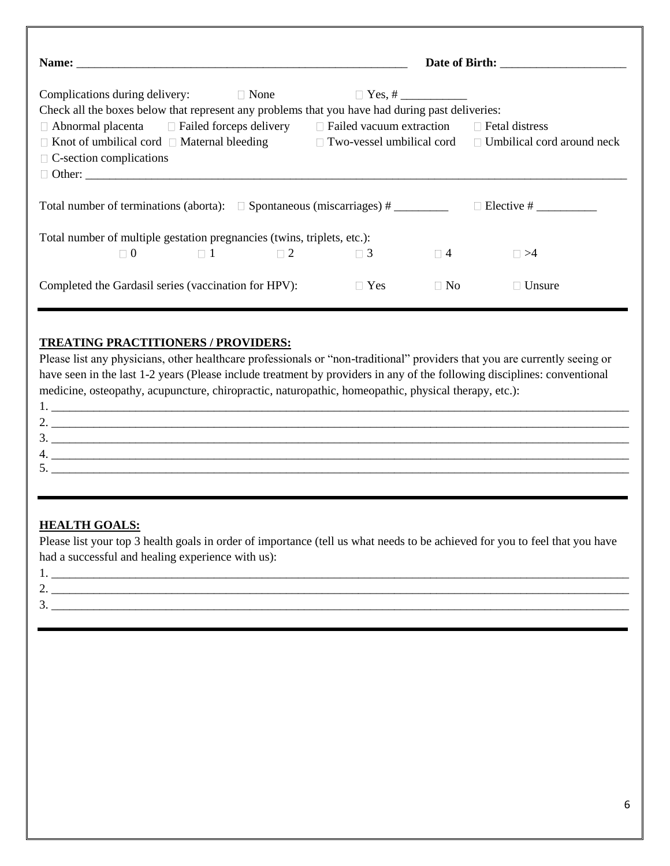| Check all the boxes below that represent any problems that you have had during past deliveries:               |  |                                     |           |                                                                                                                           |  |  |  |
|---------------------------------------------------------------------------------------------------------------|--|-------------------------------------|-----------|---------------------------------------------------------------------------------------------------------------------------|--|--|--|
| $\Box$ Abnormal placenta $\Box$ Failed forceps delivery $\Box$ Failed vacuum extraction $\Box$ Fetal distress |  |                                     |           |                                                                                                                           |  |  |  |
|                                                                                                               |  |                                     |           | $\Box$ Knot of umbilical cord $\Box$ Maternal bleeding $\Box$ Two-vessel umbilical cord $\Box$ Umbilical cord around neck |  |  |  |
| $\Box$ C-section complications                                                                                |  |                                     |           |                                                                                                                           |  |  |  |
| Other:                                                                                                        |  |                                     |           |                                                                                                                           |  |  |  |
| Total number of terminations (aborta): $\Box$ Spontaneous (miscarriages) #                                    |  |                                     |           |                                                                                                                           |  |  |  |
| Total number of multiple gestation pregnancies (twins, triplets, etc.):                                       |  |                                     |           |                                                                                                                           |  |  |  |
|                                                                                                               |  | $\Box$ 0 $\Box$ 1 $\Box$ 2 $\Box$ 3 | $\Box$ 4  | $\Box$ >4                                                                                                                 |  |  |  |
| Completed the Gardasil series (vaccination for HPV):                                                          |  | $\Box$ Yes                          | $\Box$ No | Unsure                                                                                                                    |  |  |  |

### **TREATING PRACTITIONERS / PROVIDERS:**

Please list any physicians, other healthcare professionals or "non-traditional" providers that you are currently seeing or have seen in the last 1-2 years (Please include treatment by providers in any of the following disciplines: conventional medicine, osteopathy, acupuncture, chiropractic, naturopathic, homeopathic, physical therapy, etc.):

|    | <u> 1989 - Johann Johann Stoff, deutscher Stoffen und der Stoffen und der Stoffen und der Stoffen und der Stoffen</u> |
|----|-----------------------------------------------------------------------------------------------------------------------|
| ۷. |                                                                                                                       |
| J. |                                                                                                                       |
| 4. |                                                                                                                       |
| ◡. |                                                                                                                       |
|    |                                                                                                                       |

### **HEALTH GOALS:**

Please list your top 3 health goals in order of importance (tell us what needs to be achieved for you to feel that you have had a successful and healing experience with us):

| л.            |  |
|---------------|--|
| <u>.</u>      |  |
| ∽<br><u>.</u> |  |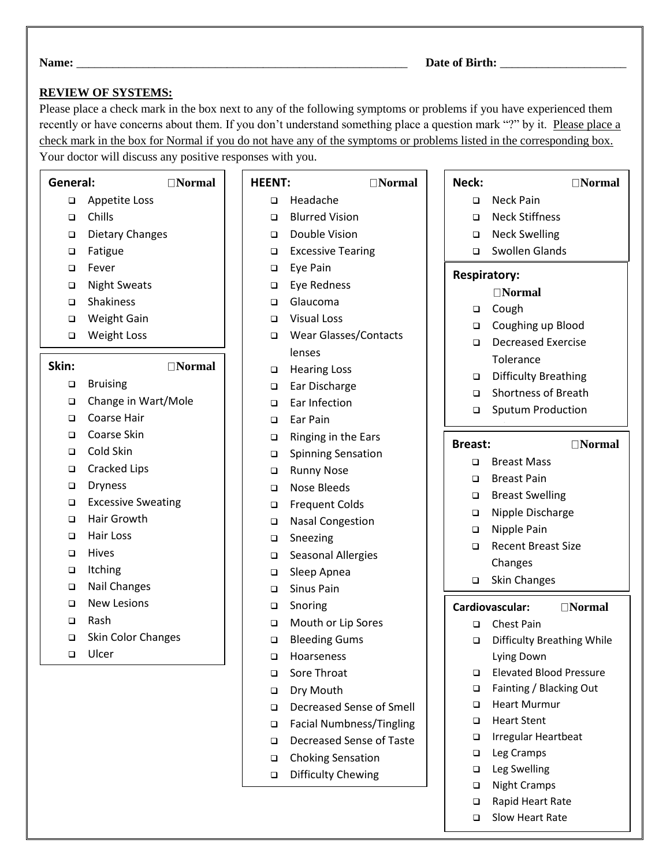Г

# **REVIEW OF SYSTEMS:**

Please place a check mark in the box next to any of the following symptoms or problems if you have experienced them recently or have concerns about them. If you don't understand something place a question mark "?" by it. Please place a check mark in the box for Normal if you do not have any of the symptoms or problems listed in the corresponding box.

Your doctor will discuss any positive responses with you.

# **General: Normal**

- ❑ Appetite Loss
- ❑ Chills
- ❑ Dietary Changes
- ❑ Fatigue
- ❑ Fever
- ❑ Night Sweats
- ❑ Shakiness
- ❑ Weight Gain
- ❑ Weight Loss

# Skin: **Normal**

- ❑ Bruising
- ❑ Change in Wart/Mole
- ❑ Coarse Hair
- ❑ Coarse Skin
- ❑ Cold Skin
- ❑ Cracked Lips
- ❑ Dryness
- ❑ Excessive Sweating
- ❑ Hair Growth
- ❑ Hair Loss
- ❑ Hives
- ❑ Itching
- ❑ Nail Changes
- ❑ New Lesions
- ❑ Rash
- ❑ Skin Color Changes
- ❑ Ulcer

| <b>HEENT:</b> | $\Box$ Normal |
|---------------|---------------|
|---------------|---------------|

- ❑ Headache
- ❑ Blurred Vision
- ❑ Double Vision
- ❑ Excessive Tearing
- ❑ Eye Pain
- ❑ Eye Redness
- ❑ Glaucoma
- ❑ Visual Loss
- ❑ Wear Glasses/Contacts lenses
- ❑ Hearing Loss
- ❑ Ear Discharge
- ❑ Ear Infection
- ❑ Ear Pain
- ❑ Ringing in the Ears
- ❑ Spinning Sensation
- ❑ Runny Nose
- ❑ Nose Bleeds
- ❑ Frequent Colds
- ❑ Nasal Congestion
- ❑ Sneezing
- ❑ Seasonal Allergies
- ❑ Sleep Apnea
- ❑ Sinus Pain
- ❑ Snoring
- ❑ Mouth or Lip Sores
- ❑ Bleeding Gums
- ❑ Hoarseness
- ❑ Sore Throat
- ❑ Dry Mouth
- ❑ Decreased Sense of Smell
- ❑ Facial Numbness/Tingling
- ❑ Decreased Sense of Taste
- ❑ Choking Sensation
- ❑ Difficulty Chewing

| Neck:               | $\exists$ Normal                  |
|---------------------|-----------------------------------|
| □                   | <b>Neck Pain</b>                  |
| $\Box$              | <b>Neck Stiffness</b>             |
| $\Box$              | <b>Neck Swelling</b>              |
| $\Box$              | <b>Swollen Glands</b>             |
| <b>Respiratory:</b> |                                   |
|                     | $\Box$ Normal                     |
| $\Box$              | Cough                             |
| $\Box$              | Coughing up Blood                 |
| $\Box$              | <b>Decreased Exercise</b>         |
|                     | Tolerance                         |
| $\Box$              | <b>Difficulty Breathing</b>       |
| $\Box$              | <b>Shortness of Breath</b>        |
| Q.                  | <b>Sputum Production</b>          |
|                     |                                   |
| Breast:             | $\Box$ Normal                     |
| ◻                   | <b>Breast Mass</b>                |
| $\Box$              | <b>Breast Pain</b>                |
| $\Box$              | <b>Breast Swelling</b>            |
| $\Box$              | Nipple Discharge                  |
| □                   | Nipple Pain                       |
| ◻                   | <b>Recent Breast Size</b>         |
|                     | Changes                           |
| ◻                   | <b>Skin Changes</b>               |
|                     | Cardiovascular:<br>$\Box$ Normal  |
| ◻                   | <b>Chest Pain</b>                 |
| $\Box$              | <b>Difficulty Breathing While</b> |
|                     | Lying Down                        |
| ❏                   | <b>Elevated Blood Pressure</b>    |
| ◻                   | Fainting / Blacking Out           |
| □                   | <b>Heart Murmur</b>               |
| ◻                   | <b>Heart Stent</b>                |
| □                   | Irregular Heartbeat               |
| ◻                   | Leg Cramps                        |
| □                   | Leg Swelling                      |
| □                   | <b>Night Cramps</b>               |
| □                   | Rapid Heart Rate                  |

❑ Slow Heart Rate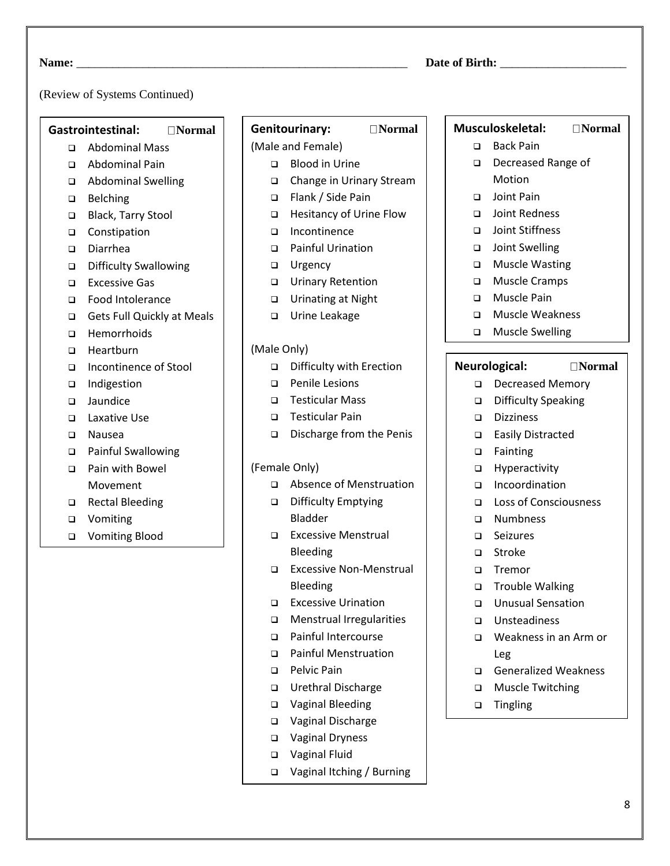### (Review of Systems Continued)

### **Gastrointestinal: Normal**

- ❑ Abdominal Mass
- ❑ Abdominal Pain
- ❑ Abdominal Swelling
- ❑ Belching
- ❑ Black, Tarry Stool
- ❑ Constipation
- ❑ Diarrhea
- ❑ Difficulty Swallowing
- ❑ Excessive Gas
- ❑ Food Intolerance
- ❑ Gets Full Quickly at Meals
- ❑ Hemorrhoids
- ❑ Heartburn
- ❑ Incontinence of Stool
- ❑ Indigestion
- ❑ Jaundice
- ❑ Laxative Use
- ❑ Nausea
- ❑ Painful Swallowing
- ❑ Pain with Bowel Movement
- ❑ Rectal Bleeding
- ❑ Vomiting
- ❑ Vomiting Blood

# Genitourinary: **Normal**

# (Male and Female)

- ❑ Blood in Urine
- ❑ Change in Urinary Stream
- ❑ Flank / Side Pain
- ❑ Hesitancy of Urine Flow
- ❑ Incontinence
- ❑ Painful Urination
- ❑ Urgency
- ❑ Urinary Retention
- ❑ Urinating at Night
- ❑ Urine Leakage

### (Male Only)

- ❑ Difficulty with Erection
- ❑ Penile Lesions
- ❑ Testicular Mass
- ❑ Testicular Pain
- ❑ Discharge from the Penis

#### (Female Only)

- ❑ Absence of Menstruation
- ❑ Difficulty Emptying Bladder
- ❑ Excessive Menstrual Bleeding
- ❑ Excessive Non-Menstrual Bleeding
- ❑ Excessive Urination
- ❑ Menstrual Irregularities
- ❑ Painful Intercourse
- ❑ Painful Menstruation
- ❑ Pelvic Pain
- ❑ Urethral Discharge
- ❑ Vaginal Bleeding
- ❑ Vaginal Discharge
- ❑ Vaginal Dryness
- ❑ Vaginal Fluid
- ❑ Vaginal Itching / Burning

### **Musculoskeletal: Normal**

- ❑ Back Pain
- ❑ Decreased Range of Motion
- ❑ Joint Pain
- ❑ Joint Redness
- ❑ Joint Stiffness
- ❑ Joint Swelling
- ❑ Muscle Wasting
- ❑ Muscle Cramps
- ❑ Muscle Pain
- ❑ Muscle Weakness
- ❑ Muscle Swelling

#### **Neurological: Normal**

- ❑ Decreased Memory
- ❑ Difficulty Speaking
- ❑ Dizziness
- ❑ Easily Distracted
- ❑ Fainting
- ❑ Hyperactivity
- ❑ Incoordination
- ❑ Loss of Consciousness
- ❑ Numbness
- ❑ Seizures
- ❑ Stroke
- ❑ Tremor
- ❑ Trouble Walking
- ❑ Unusual Sensation
- ❑ Unsteadiness
- ❑ Weakness in an Arm or Leg
- ❑ Generalized Weakness
- ❑ Muscle Twitching
- ❑ Tingling

## **Name:** \_\_\_\_\_\_\_\_\_\_\_\_\_\_\_\_\_\_\_\_\_\_\_\_\_\_\_\_\_\_\_\_\_\_\_\_\_\_\_\_\_\_\_\_\_\_\_\_\_\_\_\_\_\_\_ **Date of Birth:** \_\_\_\_\_\_\_\_\_\_\_\_\_\_\_\_\_\_\_\_\_